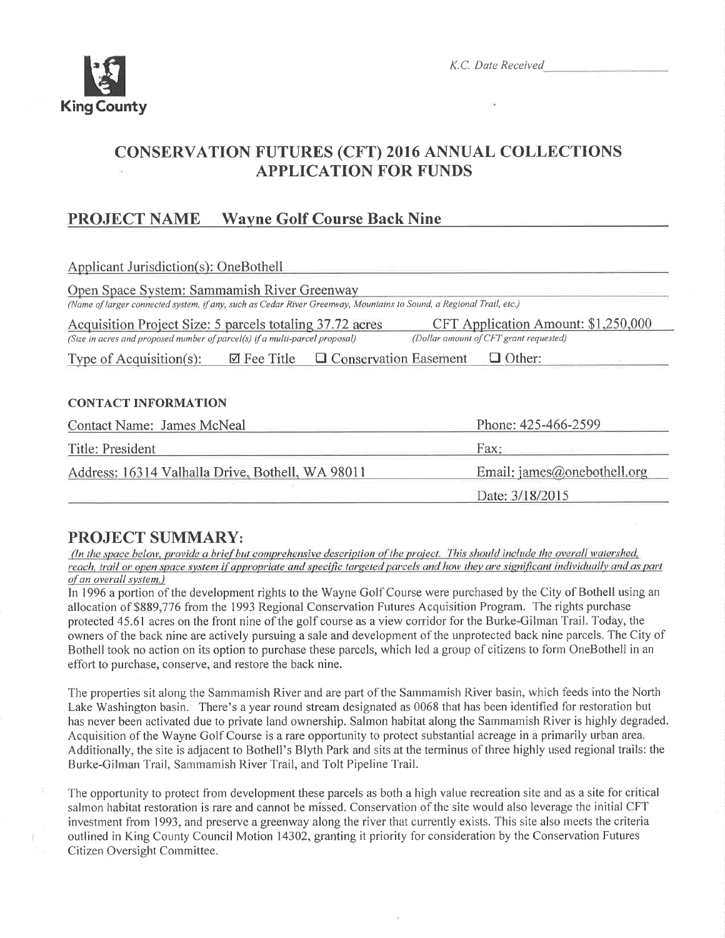

# **CONSERVATION FUTURES (CFT) 2016 ANNUAL COLLECTIONS APPLICATION FOR FUNDS**

#### **Wayne Golf Course Back Nine PROJECT NAME**

| Applicant Jurisdiction(s): OneBothell                                                                                                                                                                                    |                             |  |  |  |
|--------------------------------------------------------------------------------------------------------------------------------------------------------------------------------------------------------------------------|-----------------------------|--|--|--|
| Open Space System: Sammamish River Greenway<br>(Name of larger connected system, if any, such as Cedar River Greenway, Mountains to Sound, a Regional Trail, etc.)                                                       |                             |  |  |  |
| CFT Application Amount: \$1,250,000<br>Acquisition Project Size: 5 parcels totaling 37.72 acres<br>(Dollar amount of CFT grant requested)<br>(Size in acres and proposed number of parcel(s) if a multi-parcel proposal) |                             |  |  |  |
| $\boxtimes$ Fee Title $\Box$ Conservation Easement<br>$\Box$ Other:<br>Type of Acquisition(s):                                                                                                                           |                             |  |  |  |
|                                                                                                                                                                                                                          |                             |  |  |  |
| <b>CONTACT INFORMATION</b>                                                                                                                                                                                               |                             |  |  |  |
| <b>Contact Name: James McNeal</b>                                                                                                                                                                                        | Phone: 425-466-2599         |  |  |  |
| Title: President                                                                                                                                                                                                         | Fax:                        |  |  |  |
| Address: 16314 Valhalla Drive, Bothell, WA 98011                                                                                                                                                                         | Email: james@onebothell.org |  |  |  |
|                                                                                                                                                                                                                          | Date: 3/18/2015             |  |  |  |

## **PROJECT SUMMARY:**

(In the space below, provide a brief but comprehensive description of the project. This should include the overall watershed, reach, trail or open space system if appropriate and specific targeted parcels and how they are significant individually and as part of an overall system.)

In 1996 a portion of the development rights to the Wayne Golf Course were purchased by the City of Bothell using an allocation of \$889,776 from the 1993 Regional Conservation Futures Acquisition Program. The rights purchase protected 45.61 acres on the front nine of the golf course as a view corridor for the Burke-Gilman Trail. Today, the owners of the back nine are actively pursuing a sale and development of the unprotected back nine parcels. The City of Bothell took no action on its option to purchase these parcels, which led a group of citizens to form OneBothell in an effort to purchase, conserve, and restore the back nine.

The properties sit along the Sammamish River and are part of the Sammamish River basin, which feeds into the North Lake Washington basin. There's a year round stream designated as 0068 that has been identified for restoration but has never been activated due to private land ownership. Salmon habitat along the Sammamish River is highly degraded. Acquisition of the Wayne Golf Course is a rare opportunity to protect substantial acreage in a primarily urban area. Additionally, the site is adjacent to Bothell's Blyth Park and sits at the terminus of three highly used regional trails: the Burke-Gilman Trail, Sammamish River Trail, and Tolt Pipeline Trail.

The opportunity to protect from development these parcels as both a high value recreation site and as a site for critical salmon habitat restoration is rare and cannot be missed. Conservation of the site would also leverage the initial CFT investment from 1993, and preserve a greenway along the river that currently exists. This site also meets the criteria outlined in King County Council Motion 14302, granting it priority for consideration by the Conservation Futures Citizen Oversight Committee.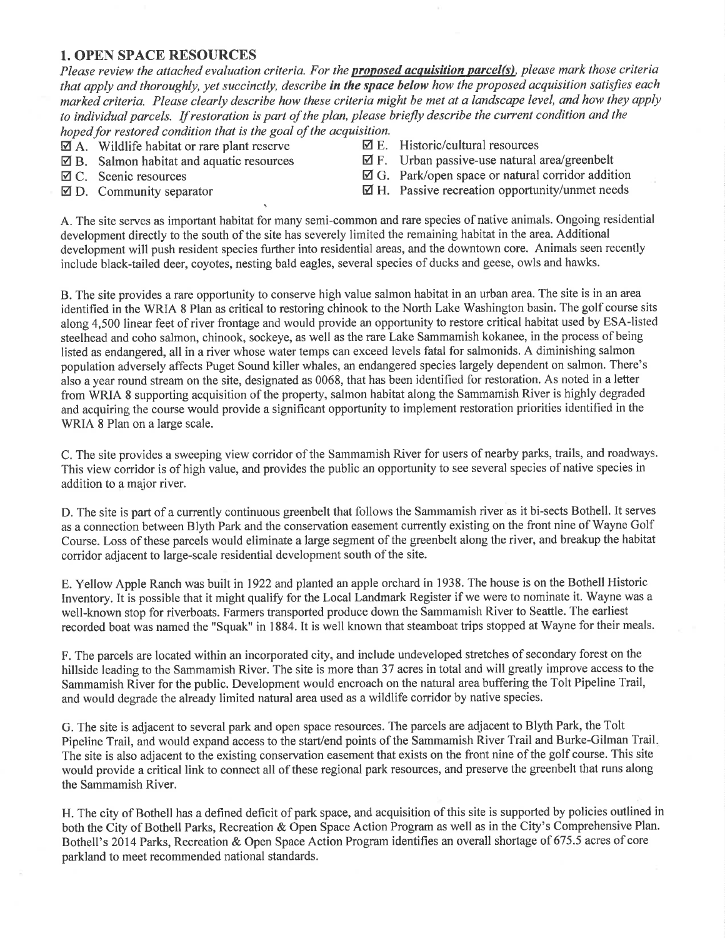### 1. OPEN SPACE RESOURCES

Please review the attached evaluation criteria. For the **proposed acquisition parcel(s)**, please mark those criteria that apply and thoroughly, yet succinctly, describe in the space below how the proposed acquisition satisfies each marked criteria. Please clearly describe how these criteria might be met at a landscape level, and how they apply to individual parcels. If restoration is part of the plan, please briefly describe the current condition and the hoped for restored condition that is the goal of the acquisition.<br> $\Box$  A. Wildlife habitat or rare plant reserve  $\Box$  E. Historic/cultural resources

- 
- $\boxtimes$  A. Wildlife habitat or rare plant reserve  $\boxtimes$  B. Salmon habitat and aquatic resources  $\boxtimes$  **B.** Salmon habitat and aquatic resources  $\boxtimes$  F. Urban passive-use natural area/greenbelt  $\boxtimes$  C. Scenic resources  $\boxtimes$  G. Park/open space or natural corridor addit
- 
- 
- 
- 
- $\boxtimes$  G. Park/open space or natural corridor addition
- $\boxtimes$  D. Community separator  $\boxtimes$  H. Passive recreation opportunity/unmet needs

A. The site serves as important habitat for many semi-common and rare species of native animals. Ongoing residential development directly to the south of the site has severely limited the remaining habitat in the area. Additional development will push resident species further into residential areas, and the downtown core. Animals seen recently include black-tailed deer, coyotes, nesting bald eagles, several species of ducks and geese, owls and hawks.

B. The site provides a rare opportunity to conserve high value salmon habitat in an urban area. The site is in an area identified in the WRIA 8 Plan as critical to restoring chinook to the North Lake Washington basin. The golf course sits along 4,500 linear feet of river frontage and would provide an opportunity to restore critical habitat used by ESA-listed steelhead and coho salmon, chinook, sockeye, as well as the rare Lake Sammamish kokanee, in the process of being listed as endangered, all in a river whose water temps can exceed levels fatal for salmonids. A diminishing salmon population adversely affects Puget Sound killer whales, an endangered species largely dependent on salmon. There's also a year round stream on the site, designated as 0068, that has been identified for restoration. As noted in a letter from WRIA 8 supporting acquisition of the property, salmon habitat along the Sammamish River is highly degraded and acquiring the course would provide a significant opportunity to implement restoration priorities identified in the WRIA 8 Plan on a large scale.

C. The site provides a sweeping view corridor of the Sammamish River for users of nearby parks, trails, and roadways. This view corridor is of high value, and provides the public an opportunity to see several species of native species in addition to a major river.

D. The site is part of a currently continuous greenbelt that follows the Sammamish river as it bi-sects Bothell. It serves as a connection between Blyth Park and the conservation easement currently existing on the front nine of Wayne Golf Course. Loss of these parcels would eliminate alarge segment of the greenbelt along the river, and breakup the habitat corridor adjacent to large-scale residential development south of the site.

E. Yellow Apple Ranch was built in 1922 and planted an apple orchard in 1938. The house is on the Bothell Historic Inventory. It is possible that it might qualify for the Local Landmark Register if we were to nominate it. Wayne was a well-known stop for riverboats. Farmers transported produce down the Sammamish River to Seattle. The earliest recorded boat was named the "Squak" in 1884. It is well known that steamboat trips stopped at Wayne for their meals.

F. The parcels are located within an incorporated city, and include undeveloped stretches of secondary forest on the hillside leading to the Sammamish River. The site is more than 37 acres in total and will greatly improve access to the Sammamish River for the public. Development would encroach on the natural area buffering the Tolt Pipeline Trail, and would degrade the already limited natural area used as a wildlife corridor by native species.

G. The site is adjacent to several park and open space resources. The parcels are adjacent to Blyth Park, the Tolt Pipeline Trail, and would expand access to the start/end points of the Sammamish River Trail and Burke-Gilman Trail. The site is also adjacent to the existing conservation easement that exists on the front nine of the golf course. This site would provide a critical link to connect all of these regional park resources, and preserve the greenbelt that runs along the Sammamish River.

H. The city of Bothell has a defined deficit of park space, and acquisition of this site is supported by policies outlined in both the City of Bothell Parks, Recreation & Open Space Action Program as well as in the City's Comprehensive Plan. Bothell's 2014 Parks, Recreation & Open Space Action Program identifies an overall shortage of 675.5 acres of core parkland to meet recommended national standards.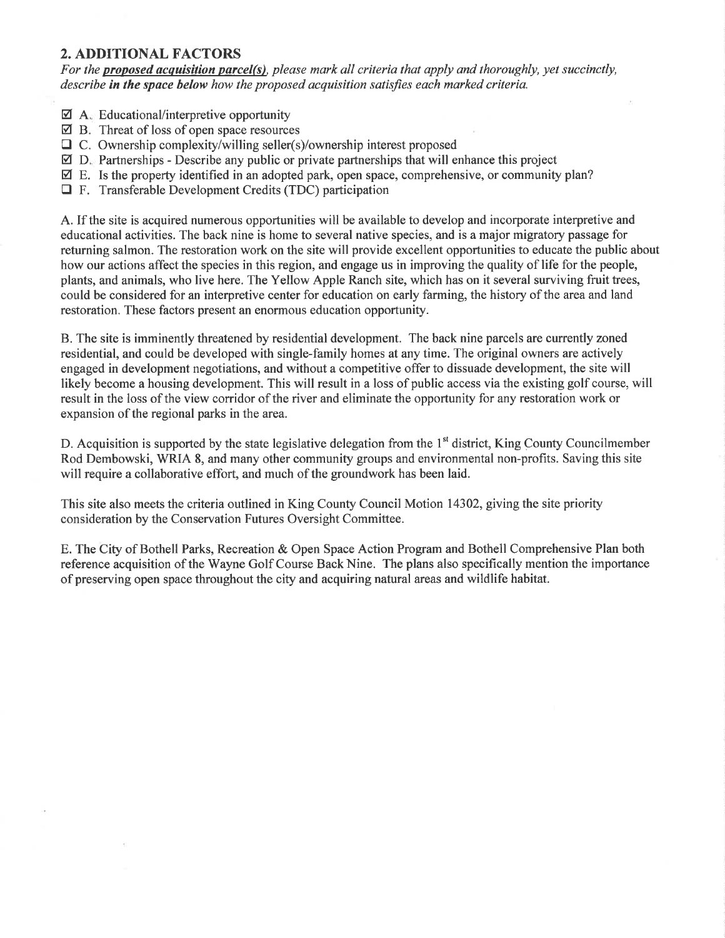### 2. ADDITIONAL FACTORS

For the **proposed acquisition parcel(s)**, please mark all criteria that apply and thoroughly, yet succinctly, describe in the space below how the proposed acquisition satisfies each marked criteria.

- $\Box$  A<sub> $\Box$ </sub> Educational/interpretive opportunity
- B. Threat of loss of open space resources
- $\Box$  C. Ownership complexity/willing seller(s)/ownership interest proposed
- $\boxtimes$  D. Partnerships Describe any public or private partnerships that will enhance this project
- $\boxtimes$  E. Is the property identified in an adopted park, open space, comprehensive, or community plan?
- $\Box$  F. Transferable Development Credits (TDC) participation

A. If the site is acquired numerous opportunities will be available to develop and incorporate interpretive and educational activities. The back nine is home to several native species, and is a major migratory passage for returning salmon. The restoration work on the site will provide excellent opportunities to educate the public about how our actions affect the species in this region, and engage us in improving the quality of life for the people, plants, and animals, who live here. The Yellow Apple Ranch site, which has on it several surviving fruit trees, could be considered for an interpretive center for education on early farming, the history of the area and land restoration. These factors present an enorrnous education opportunity.

B. The site is imminently threatened by residential development. The back nine parcels are currently zoned residential, and could be developed with single-family homes at any time. The original owners are actively engaged in development negotiations, and without a competitive offer to dissuade development, the site will likely become a housing development. This will result in a loss of public access via the existing golf course, will result in the loss of the view corridor of the river and eliminate the opportunity for any restoration work or expansion of the regional parks in the area.

D. Acquisition is supported by the state legislative delegation from the  $1<sup>st</sup>$  district, King County Councilmember Rod Dembowski, WRIA 8, and many other community groups and environmental non-profits. Saving this site will require a collaborative effort, and much of the groundwork has been laid.

This site also meets the criteria outlined in King County Council Motion 14302, giving the site priority consideration by the Conservation Futures Oversight Committee.

E. The City of Bothell Parks, Recreation & Open Space Action Program and Bothell Comprehensive Plan both reference acquisition of the Wayne Golf Course Back Nine. The plans also specifically mention the importance of preserving open space throughout the city and acquiring natural areas and wildlife habitat.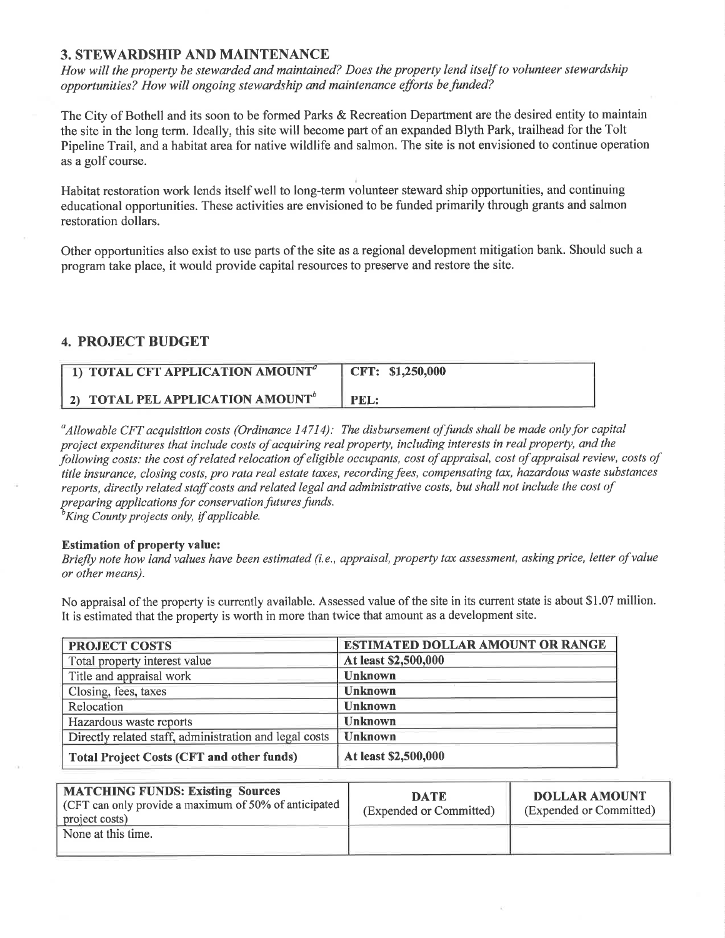### 3. STEWARDSHIP AND MAINTENANCE

How will the property be stewarded and maintained? Does the property lend itself to volunteer stewardship opportunities? How will ongoing stewardship and maintenance efforts be funded?

The City of Bothell and its soon to be formed Parks & Recreation Department are the desired entity to maintain the site in the long term. Ideally, this site will become part of an expanded Blyth Park, trailhead for the Tolt Pipeline Trail, and a habitat area for native wildlife and salmon. The site is not envisioned to continue operation as a golf course.

Habitat restoration work lends itself well to long-term volunteer steward ship opportunities, and continuing educational opportunities. These activities are envisioned to be funded primarily through grants and salmon restoration dollars.

Other opportunities also exist to use parts of the site as a regional development mitigation bank. Should such a program take place, it would provide capital resources to preserve and restore the site.

### 4. PROJECT BUDGET

| 1) TOTAL CFT APPLICATION AMOUNT <sup>a</sup> | CFT: \$1,250,000 |
|----------------------------------------------|------------------|
| 2) TOTAL PEL APPLICATION AMOUNT <sup>b</sup> | PEL:             |

 $^a$ Allowable CFT acquisition costs (Ordinance 14714): The disbursement of funds shall be made only for capital project expenditures that include costs of acquiring real property, including interests in real property, and the following costs: the cost of related relocation of eligible occupants, cost of appraisal, cost of appraisal review, costs of title insurance, closing costs, pro rata real estate taxes, recording fees, compensating tax, hazardous waste substances reports, directly related staff costs and related legal and administrative costs, but shall not include the cost of preparing applications for conservation futures funds.<br><sup>b</sup>King County projects only, if applicable.

#### Estimation of property value:

Briefly note how land values have been estimated (i.e., appraisal, property tax assessment, asking price, letter of value or other means).

No appraisal of the property is currently available. Assessed value of the site in its current state is about \$1.07 million. It is estimated that the property is worth in more than twice that amount as a development site.

| <b>PROJECT COSTS</b>                                   | <b>ESTIMATED DOLLAR AMOUNT OR RANGE</b> |
|--------------------------------------------------------|-----------------------------------------|
| Total property interest value                          | At least \$2,500,000                    |
| Title and appraisal work                               | <b>Unknown</b>                          |
| Closing, fees, taxes                                   | <b>Unknown</b>                          |
| Relocation                                             | <b>Unknown</b>                          |
| Hazardous waste reports                                | <b>Unknown</b>                          |
| Directly related staff, administration and legal costs | <b>Unknown</b>                          |
| <b>Total Project Costs (CFT and other funds)</b>       | At least \$2,500,000                    |

| <b>MATCHING FUNDS: Existing Sources</b><br>(CFT can only provide a maximum of 50% of anticipated $\parallel$<br>project costs) | <b>DATE</b><br>(Expended or Committed) | <b>DOLLAR AMOUNT</b><br>(Expended or Committed) |
|--------------------------------------------------------------------------------------------------------------------------------|----------------------------------------|-------------------------------------------------|
| None at this time.                                                                                                             |                                        |                                                 |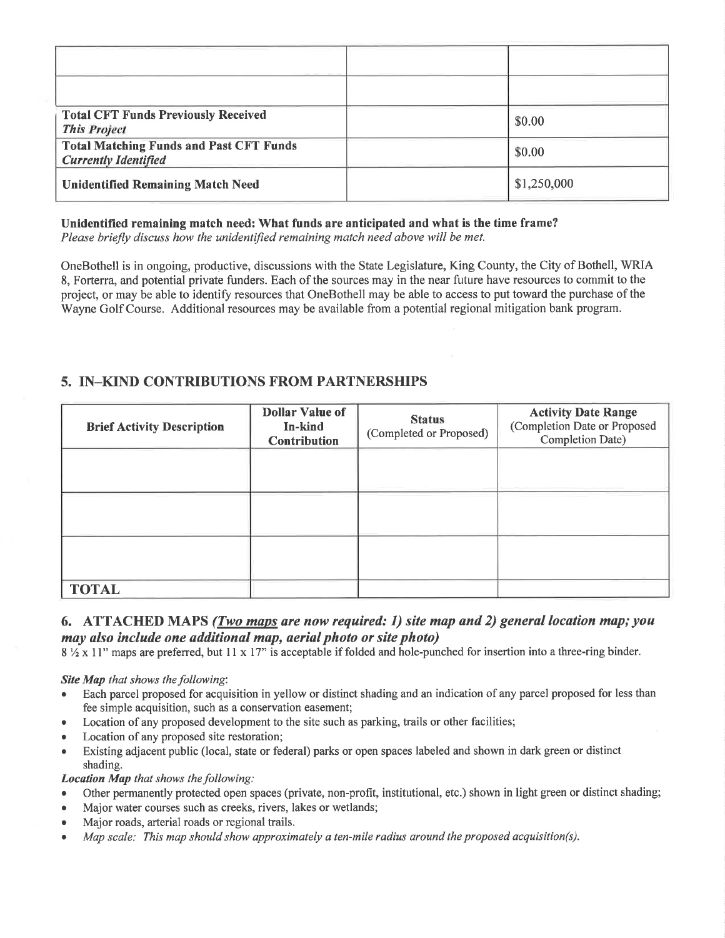| <b>Total CFT Funds Previously Received</b><br><b>This Project</b>             | \$0.00      |
|-------------------------------------------------------------------------------|-------------|
| <b>Total Matching Funds and Past CFT Funds</b><br><b>Currently Identified</b> | \$0.00      |
| <b>Unidentified Remaining Match Need</b>                                      | \$1,250,000 |

### Unidentified remaining match need: What funds are anticipated and what is the time frame?

Please briefly discuss how the unidentified remaining match need above will be met.

OneBothell is in ongoing, productive, discussions with the State Legislature, King County, the City of Bothell, WRIA 8, Forterra, and potential private funders. Each of the sources may in the near future have resources to commit to the project, or may be able to identify resources that OneBothell may be able to access to put toward the purchase of the Wayne Golf Course. Additional resources may be available from a potential regional mitigation bank program.

### 5. IN\_KIND CONTRIBUTIONS FROM PARTNERSHIPS

| <b>Brief Activity Description</b> | <b>Dollar Value of</b><br>In-kind<br><b>Contribution</b> | <b>Status</b><br>(Completed or Proposed) | <b>Activity Date Range</b><br>(Completion Date or Proposed<br>Completion Date) |
|-----------------------------------|----------------------------------------------------------|------------------------------------------|--------------------------------------------------------------------------------|
|                                   |                                                          |                                          |                                                                                |
|                                   |                                                          |                                          |                                                                                |
|                                   |                                                          |                                          |                                                                                |
| <b>TOTAL</b>                      |                                                          |                                          |                                                                                |

### 6. ATTACHED MAPS (*Two maps are now required: 1) site map and 2) general location map; you* may also include one additional map, aerial photo or site photo)

 $8\frac{1}{2}$  x 11" maps are preferred, but 11 x 17" is acceptable if folded and hole-punched for insertion into a three-ring binder.

#### Site Map that shows the following:

- Each parcel proposed for acquisition in yellow or distinct shading and an indication of any parcel proposed for less than fee simple acquisition, such as a conservation easement;
- Location of any proposed development to the site such as parking, trails or other facilities;
- Location of any proposed site restoration;
- Existing adjacent public (local, state or federal) parks or open spaces labeled and shown in dark green or distinct shading.

#### Location Map that shows the following:

- Other permanently protected open spaces (private, non-profit, institutional, etc.) shown in light green or distinct shading;
- . Major water courses such as creeks, rivers, lakes or wetlands;
- . Major roads, arterial roads or regional trails.
- . Mqp scale: This map should show øpproximately a ten-mile radius around the proposed acquisition(s).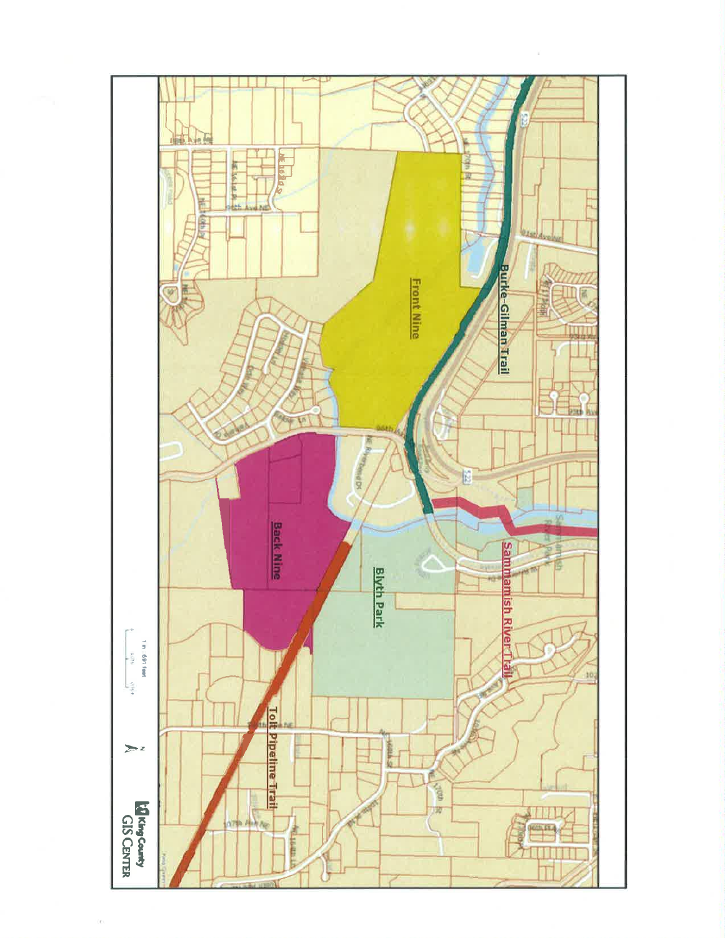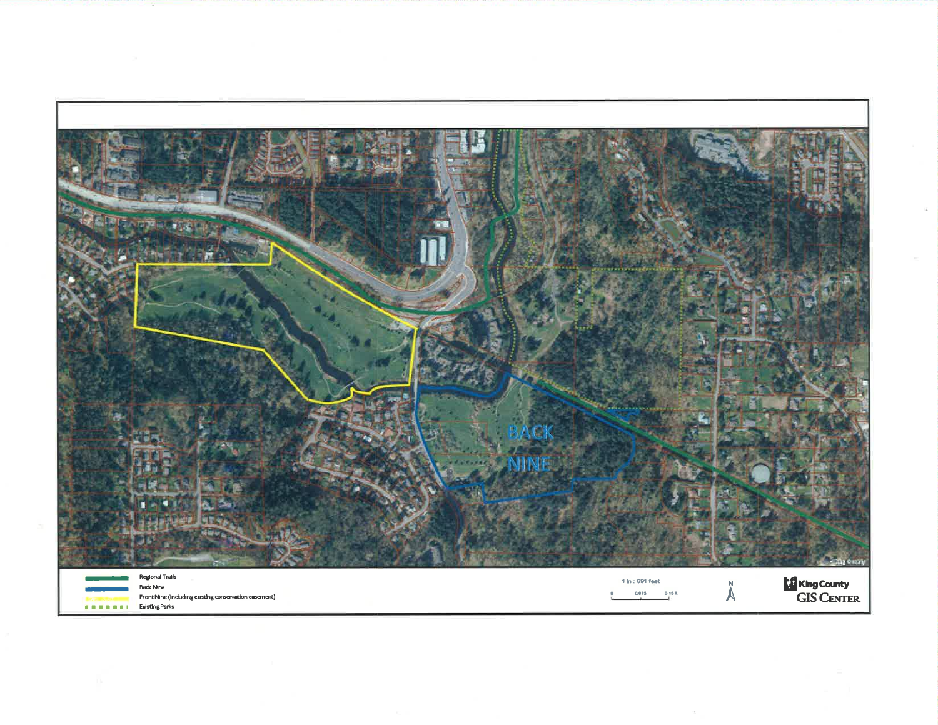

 $\sim$